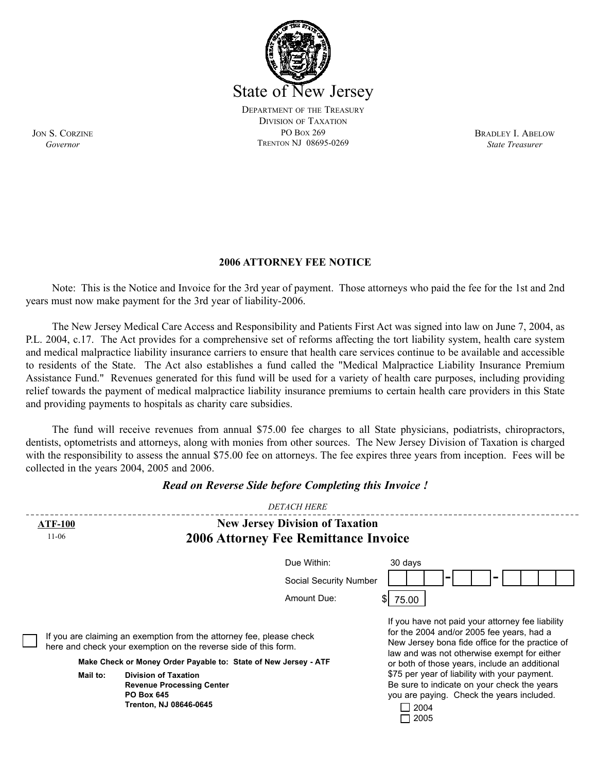

BRADLEY I. ABELOW *State Treasurer*

**2006 ATTORNEY FEE NOTICE** 

Note: This is the Notice and Invoice for the 3rd year of payment. Those attorneys who paid the fee for the 1st and 2nd years must now make payment for the 3rd year of liability-2006.

The New Jersey Medical Care Access and Responsibility and Patients First Act was signed into law on June 7, 2004, as P.L. 2004, c.17. The Act provides for a comprehensive set of reforms affecting the tort liability system, health care system and medical malpractice liability insurance carriers to ensure that health care services continue to be available and accessible to residents of the State. The Act also establishes a fund called the "Medical Malpractice Liability Insurance Premium Assistance Fund." Revenues generated for this fund will be used for a variety of health care purposes, including providing relief towards the payment of medical malpractice liability insurance premiums to certain health care providers in this State and providing payments to hospitals as charity care subsidies.

The fund will receive revenues from annual \$75.00 fee charges to all State physicians, podiatrists, chiropractors, dentists, optometrists and attorneys, along with monies from other sources. The New Jersey Division of Taxation is charged with the responsibility to assess the annual \$75.00 fee on attorneys. The fee expires three years from inception. Fees will be collected in the years 2004, 2005 and 2006.

|                                                                                                                                         | <b>DETACH HERE</b>                     |                                                                                                                                                                                                                                                  |
|-----------------------------------------------------------------------------------------------------------------------------------------|----------------------------------------|--------------------------------------------------------------------------------------------------------------------------------------------------------------------------------------------------------------------------------------------------|
| <b>ATF-100</b>                                                                                                                          | <b>New Jersey Division of Taxation</b> |                                                                                                                                                                                                                                                  |
| $11-06$<br><b>2006 Attorney Fee Remittance Invoice</b>                                                                                  |                                        |                                                                                                                                                                                                                                                  |
|                                                                                                                                         | Due Within:                            | 30 days                                                                                                                                                                                                                                          |
|                                                                                                                                         | Social Security Number                 |                                                                                                                                                                                                                                                  |
|                                                                                                                                         | Amount Due:                            | \$l<br>75.00                                                                                                                                                                                                                                     |
| If you are claiming an exemption from the attorney fee, please check<br>here and check your exemption on the reverse side of this form. |                                        | If you have not paid your attorney fee liability<br>for the 2004 and/or 2005 fee years, had a<br>New Jersey bona fide office for the practice of<br>law and was not otherwise exempt for either<br>or both of those years, include an additional |
| Make Check or Money Order Payable to: State of New Jersey - ATF                                                                         |                                        |                                                                                                                                                                                                                                                  |
| Mail to:<br><b>Division of Taxation</b><br><b>Revenue Processing Center</b><br><b>PO Box 645</b><br>Trenton, NJ 08646-0645              |                                        | \$75 per year of liability with your payment.<br>Be sure to indicate on your check the years<br>you are paying. Check the years included.<br>$\Box$ 2004<br>2005                                                                                 |

## *Read on Reverse Side before Completing this Invoice !*

JON S. CORZINE *Governor*